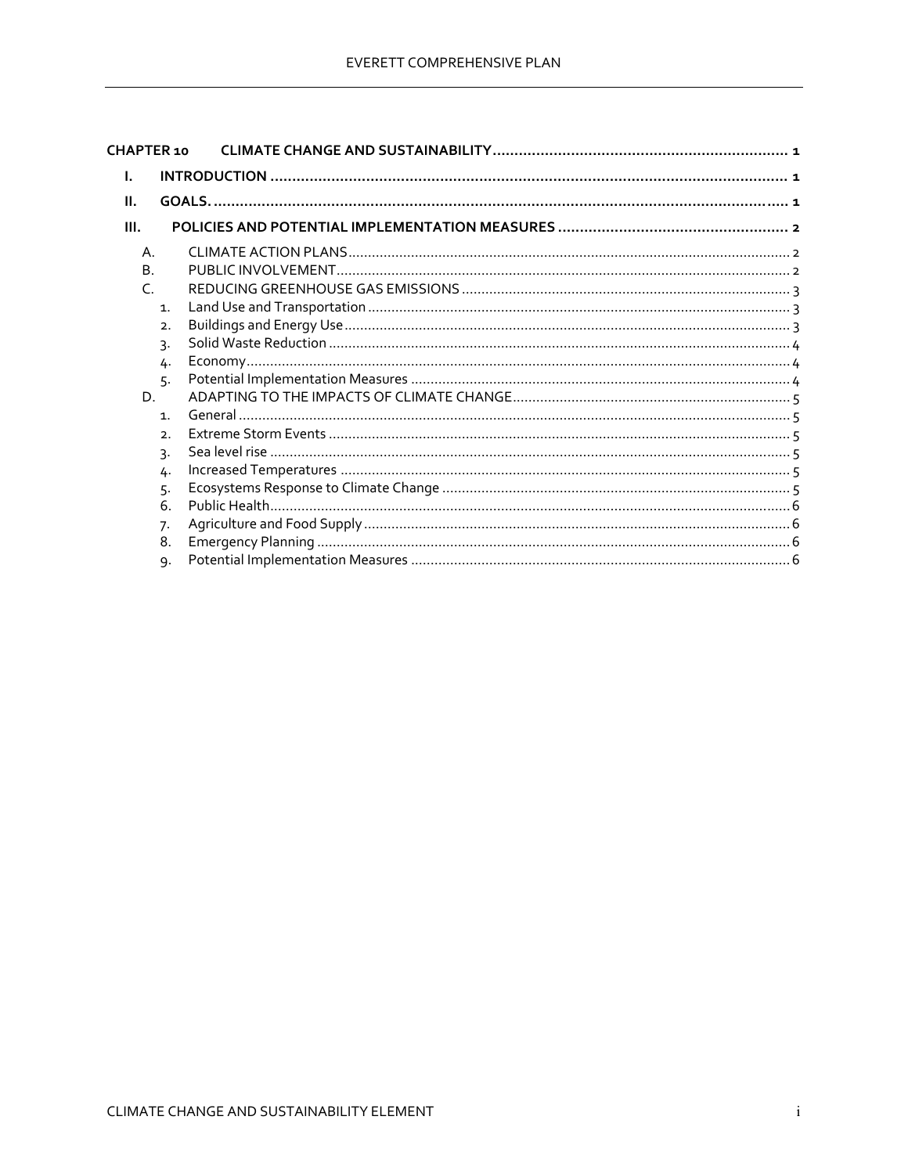| CHAPTER 10                  |  |
|-----------------------------|--|
| I.                          |  |
| Ш.                          |  |
| III.                        |  |
| Α.                          |  |
| B.                          |  |
| $\subset$                   |  |
| $\mathbf{1}$ .              |  |
| 2.                          |  |
| 3.                          |  |
| 4.                          |  |
| 5.                          |  |
| D.                          |  |
| $\mathbf{1}$ .              |  |
| $\mathcal{D}_{\mathcal{A}}$ |  |
| 3.                          |  |
| 4.                          |  |
| 5.                          |  |
| 6.                          |  |
| 7.                          |  |
| 8.                          |  |
| 9.                          |  |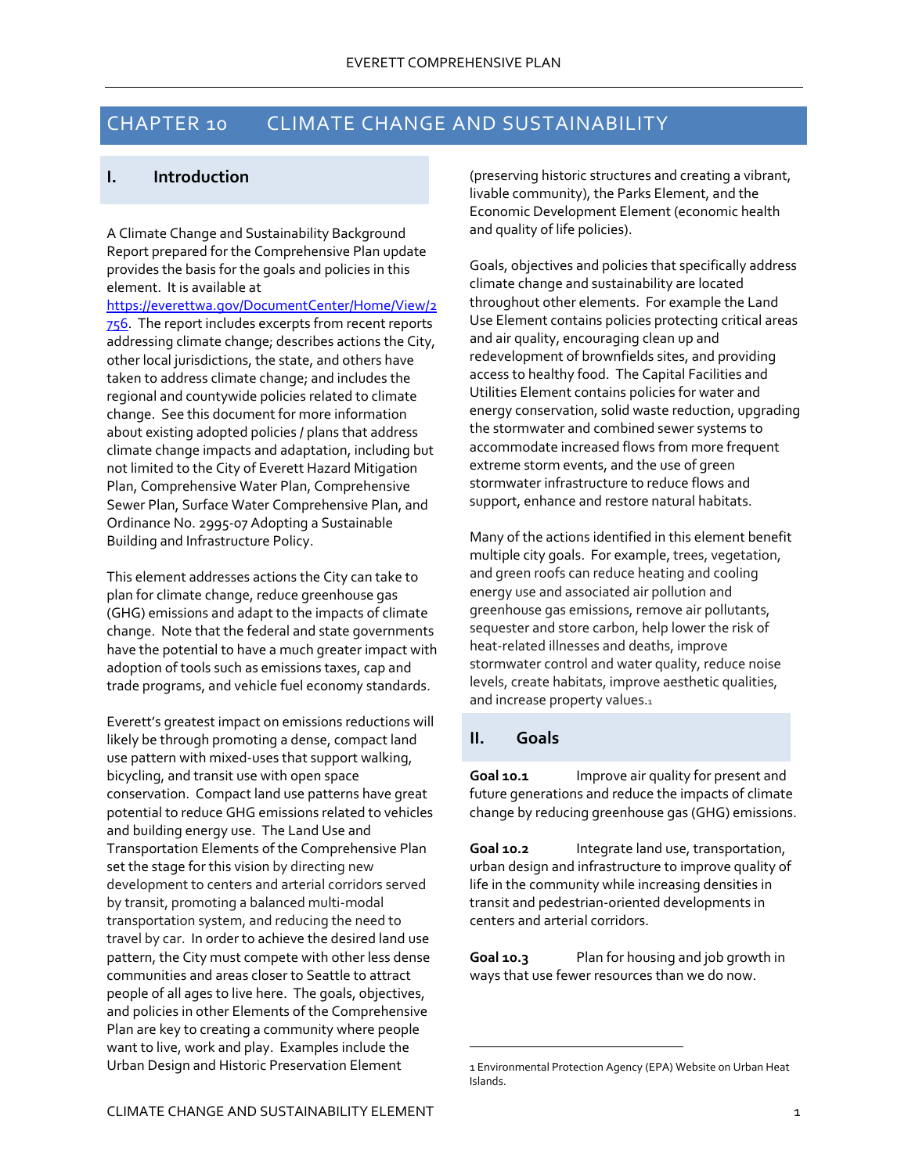# CHAPTER 10 CLIMATE CHANGE AND SUSTAINABILITY

## **I. Introduction**

A Climate Change and Sustainability Background Report prepared for the Comprehensive Plan update provides the basis for the goals and policies in this element. It is available at

https://everettwa.gov/DocumentCenter/Home/View/2 756. The report includes excerpts from recent reports addressing climate change; describes actions the City, other local jurisdictions, the state, and others have taken to address climate change; and includes the regional and countywide policies related to climate change. See this document for more information about existing adopted policies / plans that address climate change impacts and adaptation, including but not limited to the City of Everett Hazard Mitigation Plan, Comprehensive Water Plan, Comprehensive Sewer Plan, Surface Water Comprehensive Plan, and Ordinance No. 2995‐07 Adopting a Sustainable Building and Infrastructure Policy.

This element addresses actions the City can take to plan for climate change, reduce greenhouse gas (GHG) emissions and adapt to the impacts of climate change. Note that the federal and state governments have the potential to have a much greater impact with adoption of tools such as emissions taxes, cap and trade programs, and vehicle fuel economy standards.

Everett's greatest impact on emissions reductions will likely be through promoting a dense, compact land use pattern with mixed‐uses that support walking, bicycling, and transit use with open space conservation. Compact land use patterns have great potential to reduce GHG emissions related to vehicles and building energy use. The Land Use and Transportation Elements of the Comprehensive Plan set the stage for this vision by directing new development to centers and arterial corridors served by transit, promoting a balanced multi‐modal transportation system, and reducing the need to travel by car. In order to achieve the desired land use pattern, the City must compete with other less dense communities and areas closer to Seattle to attract people of all ages to live here. The goals, objectives, and policies in other Elements of the Comprehensive Plan are key to creating a community where people want to live, work and play. Examples include the Urban Design and Historic Preservation Element

(preserving historic structures and creating a vibrant, livable community), the Parks Element, and the Economic Development Element (economic health and quality of life policies).

Goals, objectives and policies that specifically address climate change and sustainability are located throughout other elements. For example the Land Use Element contains policies protecting critical areas and air quality, encouraging clean up and redevelopment of brownfields sites, and providing access to healthy food. The Capital Facilities and Utilities Element contains policies for water and energy conservation, solid waste reduction, upgrading the stormwater and combined sewer systems to accommodate increased flows from more frequent extreme storm events, and the use of green stormwater infrastructure to reduce flows and support, enhance and restore natural habitats.

Many of the actions identified in this element benefit multiple city goals. For example, trees, vegetation, and green roofs can reduce heating and cooling energy use and associated air pollution and greenhouse gas emissions, remove air pollutants, sequester and store carbon, help lower the risk of heat‐related illnesses and deaths, improve stormwater control and water quality, reduce noise levels, create habitats, improve aesthetic qualities, and increase property values.1

## **II. Goals**

 $\overline{a}$ 

**Goal 10.1** Improve air quality for present and future generations and reduce the impacts of climate change by reducing greenhouse gas (GHG) emissions.

**Goal 10.2** Integrate land use, transportation, urban design and infrastructure to improve quality of life in the community while increasing densities in transit and pedestrian‐oriented developments in centers and arterial corridors.

**Goal 10.3** Plan for housing and job growth in ways that use fewer resources than we do now.

<sup>1</sup> Environmental Protection Agency (EPA) Website on Urban Heat Islands.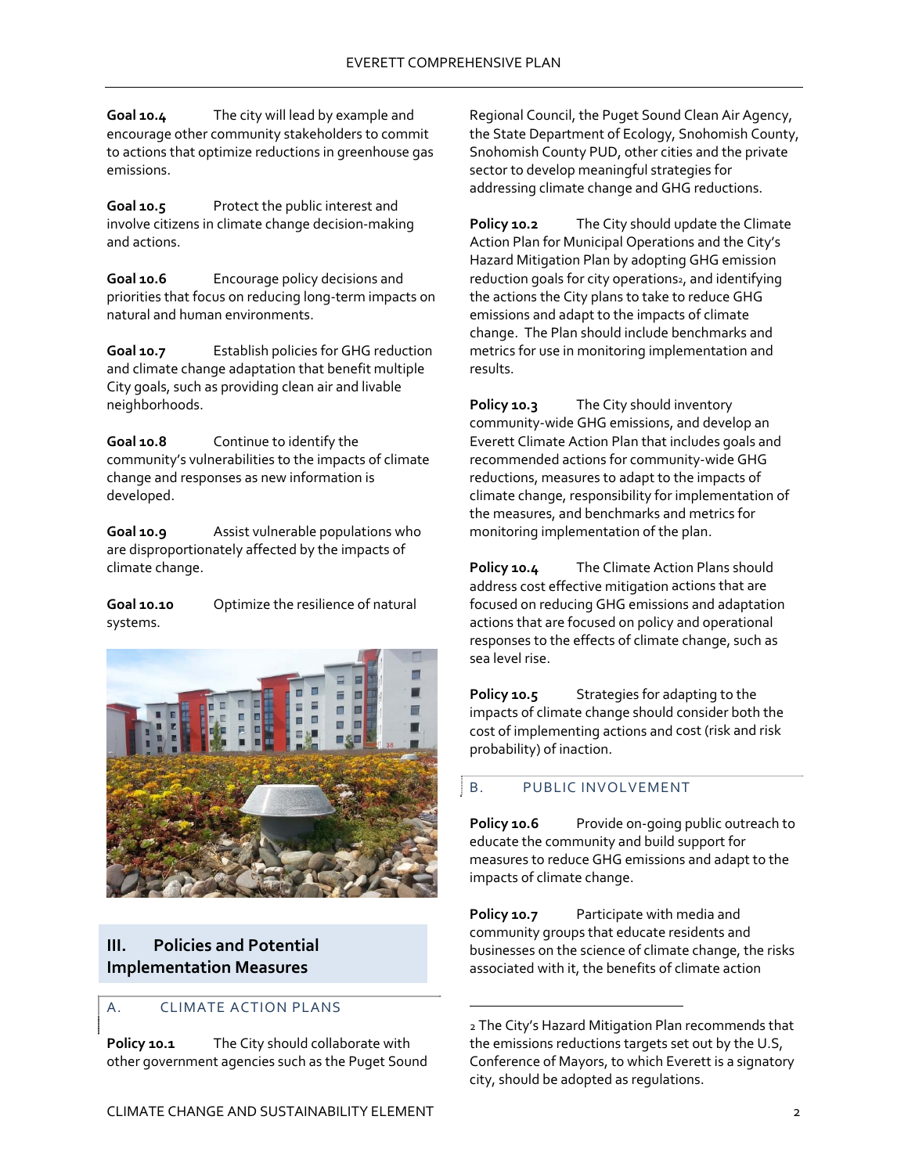**Goal 10.4** The city will lead by example and encourage other community stakeholders to commit to actions that optimize reductions in greenhouse gas emissions.

**Goal 10.5** Protect the public interest and involve citizens in climate change decision‐making and actions.

**Goal 10.6** Encourage policy decisions and priorities that focus on reducing long‐term impacts on natural and human environments.

**Goal 10.7** Establish policies for GHG reduction and climate change adaptation that benefit multiple City goals, such as providing clean air and livable neighborhoods.

**Goal 10.8** Continue to identify the community's vulnerabilities to the impacts of climate change and responses as new information is developed.

**Goal 10.9** Assist vulnerable populations who are disproportionately affected by the impacts of climate change.

**Goal 10.10** Optimize the resilience of natural systems.



## **III. Policies and Potential Implementation Measures**

#### A. CLIMATE ACTION PLANS

**Policy 10.1** The City should collaborate with other government agencies such as the Puget Sound

Regional Council, the Puget Sound Clean Air Agency, the State Department of Ecology, Snohomish County, Snohomish County PUD, other cities and the private sector to develop meaningful strategies for addressing climate change and GHG reductions.

**Policy 10.2** The City should update the Climate Action Plan for Municipal Operations and the City's Hazard Mitigation Plan by adopting GHG emission reduction goals for city operations<sub>2</sub>, and identifying the actions the City plans to take to reduce GHG emissions and adapt to the impacts of climate change. The Plan should include benchmarks and metrics for use in monitoring implementation and results.

**Policy 10.3** The City should inventory community‐wide GHG emissions, and develop an Everett Climate Action Plan that includes goals and recommended actions for community‐wide GHG reductions, measures to adapt to the impacts of climate change, responsibility for implementation of the measures, and benchmarks and metrics for monitoring implementation of the plan.

**Policy 10.4** The Climate Action Plans should address cost effective mitigation actions that are focused on reducing GHG emissions and adaptation actions that are focused on policy and operational responses to the effects of climate change, such as sea level rise.

**Policy 10.5** Strategies for adapting to the impacts of climate change should consider both the cost of implementing actions and cost (risk and risk probability) of inaction.

## B. PUBLIC INVOLVEMENT

 $\overline{a}$ 

**Policy 10.6** Provide on‐going public outreach to educate the community and build support for measures to reduce GHG emissions and adapt to the impacts of climate change.

**Policy 10.7** Participate with media and community groups that educate residents and businesses on the science of climate change, the risks associated with it, the benefits of climate action

<sup>2</sup> The City's Hazard Mitigation Plan recommends that the emissions reductions targets set out by the U.S, Conference of Mayors, to which Everett is a signatory city, should be adopted as regulations.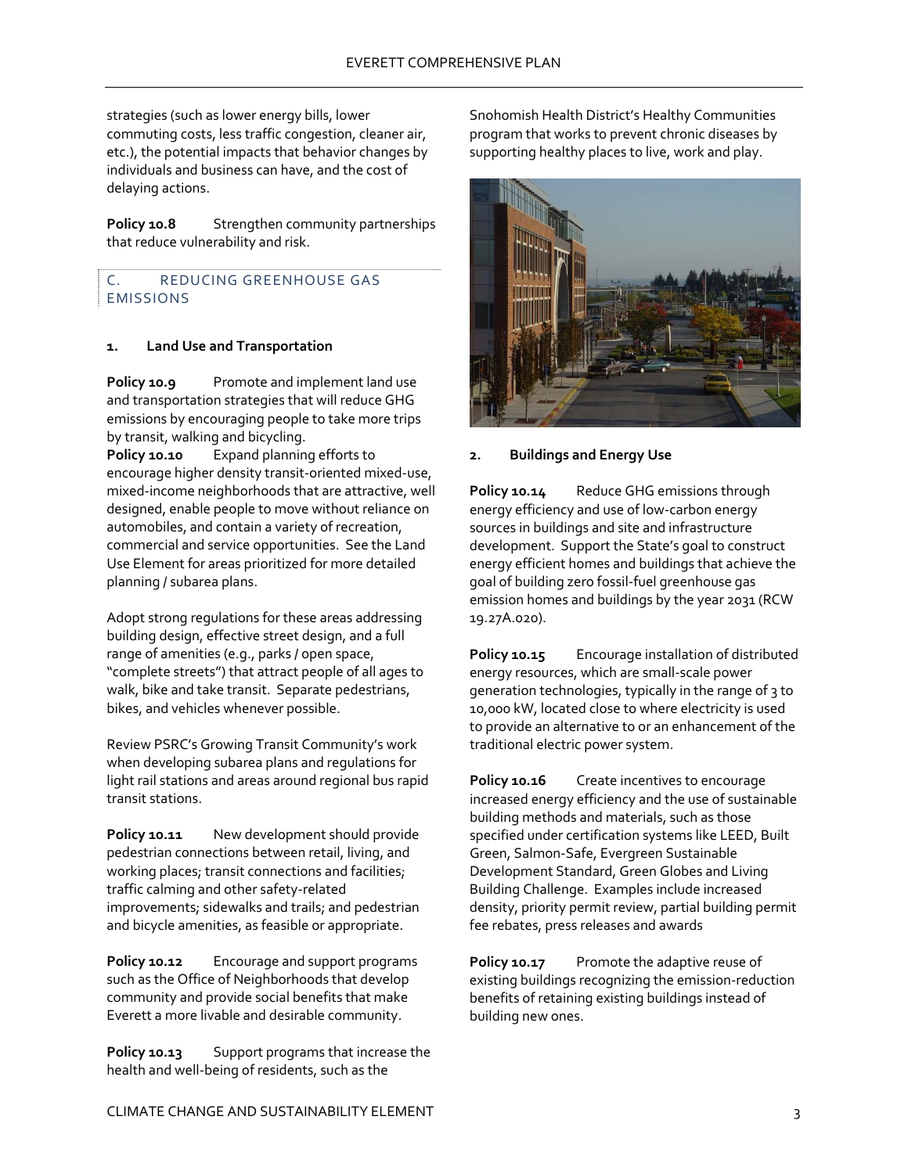strategies (such as lower energy bills, lower commuting costs, less traffic congestion, cleaner air, etc.), the potential impacts that behavior changes by individuals and business can have, and the cost of delaying actions.

**Policy 10.8** Strengthen community partnerships that reduce vulnerability and risk.

C. REDUCING GREENHOUSE GAS EMISSIONS

#### **1. Land Use and Transportation**

**Policy 10.9** Promote and implement land use and transportation strategies that will reduce GHG emissions by encouraging people to take more trips by transit, walking and bicycling.

**Policy 10.10** Expand planning efforts to encourage higher density transit‐oriented mixed‐use, mixed‐income neighborhoods that are attractive, well designed, enable people to move without reliance on automobiles, and contain a variety of recreation, commercial and service opportunities. See the Land Use Element for areas prioritized for more detailed planning / subarea plans.

Adopt strong regulations for these areas addressing building design, effective street design, and a full range of amenities (e.g., parks / open space, "complete streets") that attract people of all ages to walk, bike and take transit. Separate pedestrians, bikes, and vehicles whenever possible.

Review PSRC's Growing Transit Community's work when developing subarea plans and regulations for light rail stations and areas around regional bus rapid transit stations.

**Policy 10.11** New development should provide pedestrian connections between retail, living, and working places; transit connections and facilities; traffic calming and other safety‐related improvements; sidewalks and trails; and pedestrian and bicycle amenities, as feasible or appropriate.

**Policy 10.12** Encourage and support programs such as the Office of Neighborhoods that develop community and provide social benefits that make Everett a more livable and desirable community.

**Policy 10.13** Support programs that increase the health and well‐being of residents, such as the

Snohomish Health District's Healthy Communities program that works to prevent chronic diseases by supporting healthy places to live, work and play.



#### **2. Buildings and Energy Use**

**Policy 10.14** Reduce GHG emissions through energy efficiency and use of low‐carbon energy sources in buildings and site and infrastructure development. Support the State's goal to construct energy efficient homes and buildings that achieve the goal of building zero fossil‐fuel greenhouse gas emission homes and buildings by the year 2031 (RCW 19.27A.020).

**Policy 10.15** Encourage installation of distributed energy resources, which are small‐scale power generation technologies, typically in the range of 3 to 10,000 kW, located close to where electricity is used to provide an alternative to or an enhancement of the traditional electric power system.

**Policy 10.16** Create incentives to encourage increased energy efficiency and the use of sustainable building methods and materials, such as those specified under certification systems like LEED, Built Green, Salmon‐Safe, Evergreen Sustainable Development Standard, Green Globes and Living Building Challenge. Examples include increased density, priority permit review, partial building permit fee rebates, press releases and awards

**Policy 10.17** Promote the adaptive reuse of existing buildings recognizing the emission‐reduction benefits of retaining existing buildings instead of building new ones.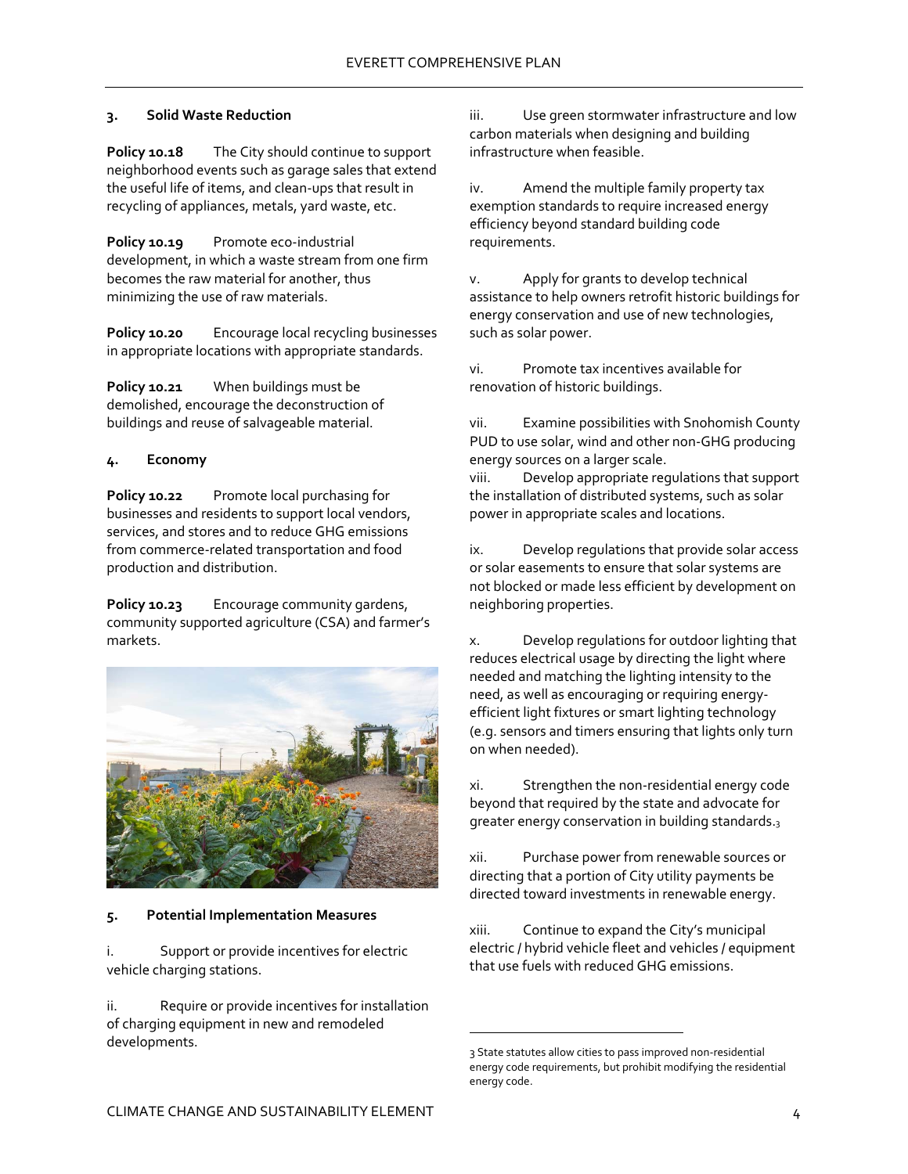### **3. Solid Waste Reduction**

**Policy 10.18** The City should continue to support neighborhood events such as garage sales that extend the useful life of items, and clean‐ups that result in recycling of appliances, metals, yard waste, etc.

**Policy 10.19** Promote eco-industrial development, in which a waste stream from one firm becomes the raw material for another, thus minimizing the use of raw materials.

**Policy 10.20** Encourage local recycling businesses in appropriate locations with appropriate standards.

**Policy 10.21** When buildings must be demolished, encourage the deconstruction of buildings and reuse of salvageable material.

#### **4. Economy**

**Policy 10.22** Promote local purchasing for businesses and residents to support local vendors, services, and stores and to reduce GHG emissions from commerce‐related transportation and food production and distribution.

**Policy 10.23** Encourage community gardens, community supported agriculture (CSA) and farmer's markets.



#### **5. Potential Implementation Measures**

i. Support or provide incentives for electric vehicle charging stations.

ii. Require or provide incentives for installation of charging equipment in new and remodeled developments.

iii. Use green stormwater infrastructure and low carbon materials when designing and building infrastructure when feasible.

iv. Amend the multiple family property tax exemption standards to require increased energy efficiency beyond standard building code requirements.

v. Apply for grants to develop technical assistance to help owners retrofit historic buildings for energy conservation and use of new technologies, such as solar power.

vi. Promote tax incentives available for renovation of historic buildings.

vii. Examine possibilities with Snohomish County PUD to use solar, wind and other non‐GHG producing energy sources on a larger scale.

viii. Develop appropriate regulations that support the installation of distributed systems, such as solar power in appropriate scales and locations.

ix. Develop regulations that provide solar access or solar easements to ensure that solar systems are not blocked or made less efficient by development on neighboring properties.

x. Develop regulations for outdoor lighting that reduces electrical usage by directing the light where needed and matching the lighting intensity to the need, as well as encouraging or requiring energy‐ efficient light fixtures or smart lighting technology (e.g. sensors and timers ensuring that lights only turn on when needed).

xi. Strengthen the non‐residential energy code beyond that required by the state and advocate for greater energy conservation in building standards.3

xii. Purchase power from renewable sources or directing that a portion of City utility payments be directed toward investments in renewable energy.

xiii. Continue to expand the City's municipal electric / hybrid vehicle fleet and vehicles / equipment that use fuels with reduced GHG emissions.

 $\overline{a}$ 

<sup>3</sup> State statutes allow cities to pass improved non‐residential energy code requirements, but prohibit modifying the residential energy code.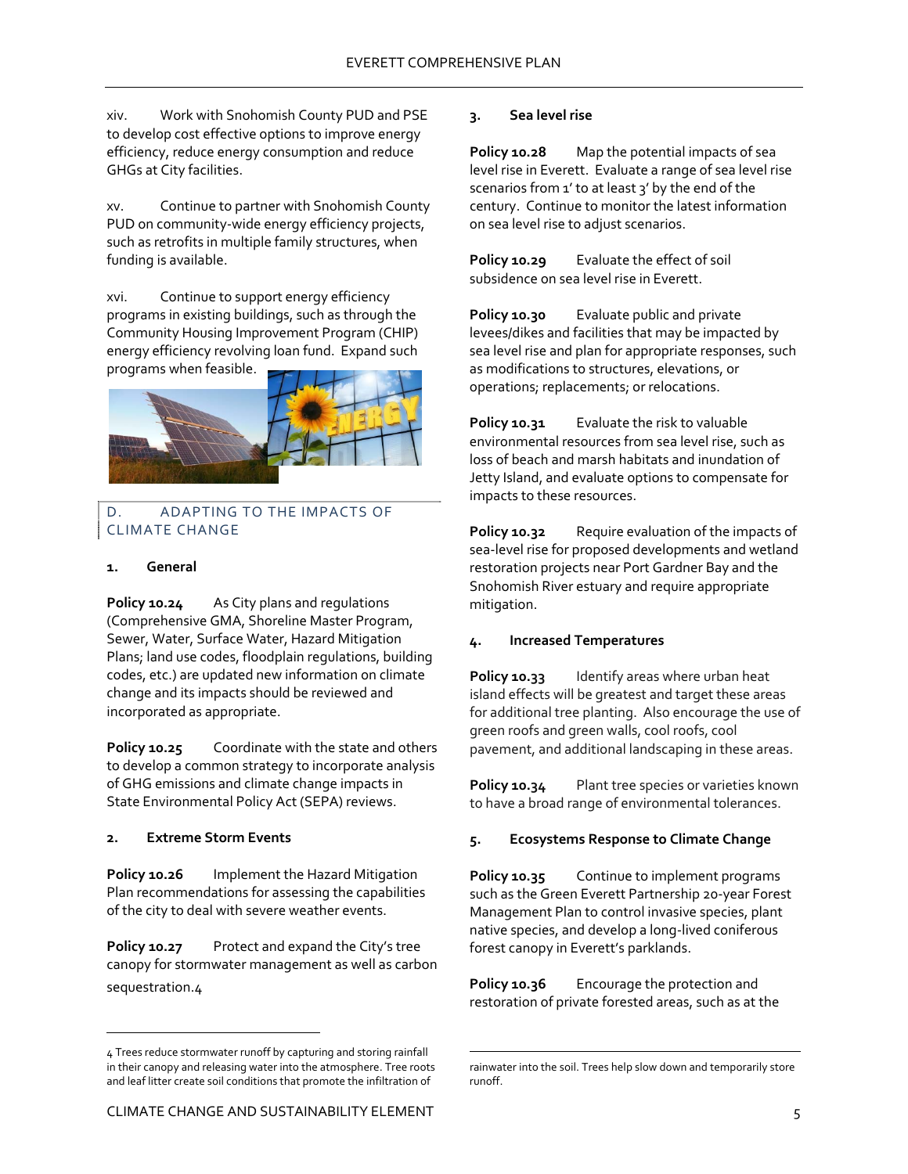xiv. Work with Snohomish County PUD and PSE to develop cost effective options to improve energy efficiency, reduce energy consumption and reduce GHGs at City facilities.

xv. Continue to partner with Snohomish County PUD on community-wide energy efficiency projects, such as retrofits in multiple family structures, when funding is available.

xvi. Continue to support energy efficiency programs in existing buildings, such as through the Community Housing Improvement Program (CHIP) energy efficiency revolving loan fund. Expand such programs when feasible.



#### D. ADAPTING TO THE IMPACTS OF CLIMATE CHANGE

#### **1. General**

**Policy 10.24** As City plans and regulations (Comprehensive GMA, Shoreline Master Program, Sewer, Water, Surface Water, Hazard Mitigation Plans; land use codes, floodplain regulations, building codes, etc.) are updated new information on climate change and its impacts should be reviewed and incorporated as appropriate.

**Policy 10.25** Coordinate with the state and others to develop a common strategy to incorporate analysis of GHG emissions and climate change impacts in State Environmental Policy Act (SEPA) reviews.

#### **2. Extreme Storm Events**

 $\overline{a}$ 

**Policy 10.26** Implement the Hazard Mitigation Plan recommendations for assessing the capabilities of the city to deal with severe weather events.

**Policy 10.27** Protect and expand the City's tree canopy for stormwater management as well as carbon sequestration.4

#### **3. Sea level rise**

**Policy 10.28** Map the potential impacts of sea level rise in Everett. Evaluate a range of sea level rise scenarios from 1' to at least 3' by the end of the century. Continue to monitor the latest information on sea level rise to adjust scenarios.

**Policy 10.29** Evaluate the effect of soil subsidence on sea level rise in Everett.

**Policy 10.30** Evaluate public and private levees/dikes and facilities that may be impacted by sea level rise and plan for appropriate responses, such as modifications to structures, elevations, or operations; replacements; or relocations.

**Policy 10.31** Evaluate the risk to valuable environmental resources from sea level rise, such as loss of beach and marsh habitats and inundation of Jetty Island, and evaluate options to compensate for impacts to these resources.

**Policy 10.32** Require evaluation of the impacts of sea‐level rise for proposed developments and wetland restoration projects near Port Gardner Bay and the Snohomish River estuary and require appropriate mitigation.

#### **4. Increased Temperatures**

**Policy 10.33** Identify areas where urban heat island effects will be greatest and target these areas for additional tree planting. Also encourage the use of green roofs and green walls, cool roofs, cool pavement, and additional landscaping in these areas.

**Policy 10.34** Plant tree species or varieties known to have a broad range of environmental tolerances.

#### **5. Ecosystems Response to Climate Change**

**Policy 10.35** Continue to implement programs such as the Green Everett Partnership 20‐year Forest Management Plan to control invasive species, plant native species, and develop a long‐lived coniferous forest canopy in Everett's parklands.

**Policy 10.36** Encourage the protection and restoration of private forested areas, such as at the

 $\overline{a}$ 

<sup>4</sup> Trees reduce stormwater runoff by capturing and storing rainfall in their canopy and releasing water into the atmosphere. Tree roots and leaf litter create soil conditions that promote the infiltration of

rainwater into the soil. Trees help slow down and temporarily store runoff.